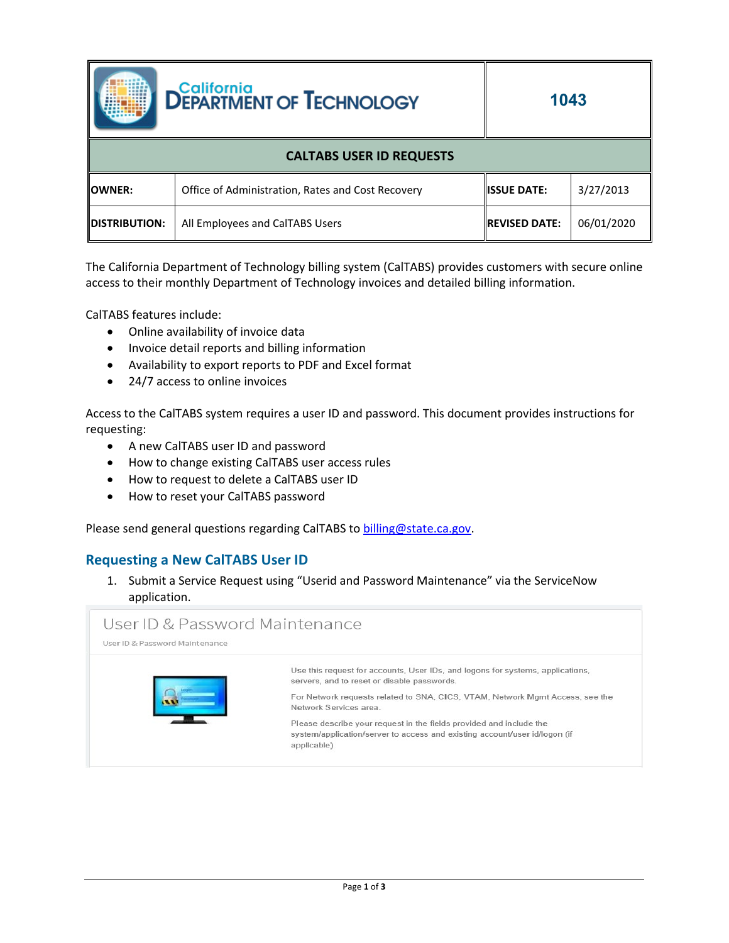

**1043**

| <b>CALTABS USER ID REQUESTS</b> |                                                   |                                  |            |  |  |  |
|---------------------------------|---------------------------------------------------|----------------------------------|------------|--|--|--|
| <b>IOWNER:</b>                  | Office of Administration, Rates and Cost Recovery | 3/27/2013<br><b>IISSUE DATE:</b> |            |  |  |  |
| <b>IDISTRIBUTION:</b>           | All Employees and CalTABS Users                   | <b>IREVISED DATE:</b>            | 06/01/2020 |  |  |  |

The California Department of Technology billing system (CalTABS) provides customers with secure online access to their monthly Department of Technology invoices and detailed billing information.

CalTABS features include:

- Online availability of invoice data
- Invoice detail reports and billing information
- Availability to export reports to PDF and Excel format
- 24/7 access to online invoices

Access to the CalTABS system requires a user ID and password. This document provides instructions for requesting:

- A new CalTABS user ID and password
- How to change existing CalTABS user access rules
- How to request to delete a CalTABS user ID
- How to reset your CalTABS password

Please send general questions regarding CalTABS to [billing@state.ca.gov.](mailto:billing@state.ca.gov)

## **Requesting a New CalTABS User ID**

1. Submit a Service Request using "Userid and Password Maintenance" via the ServiceNow application.

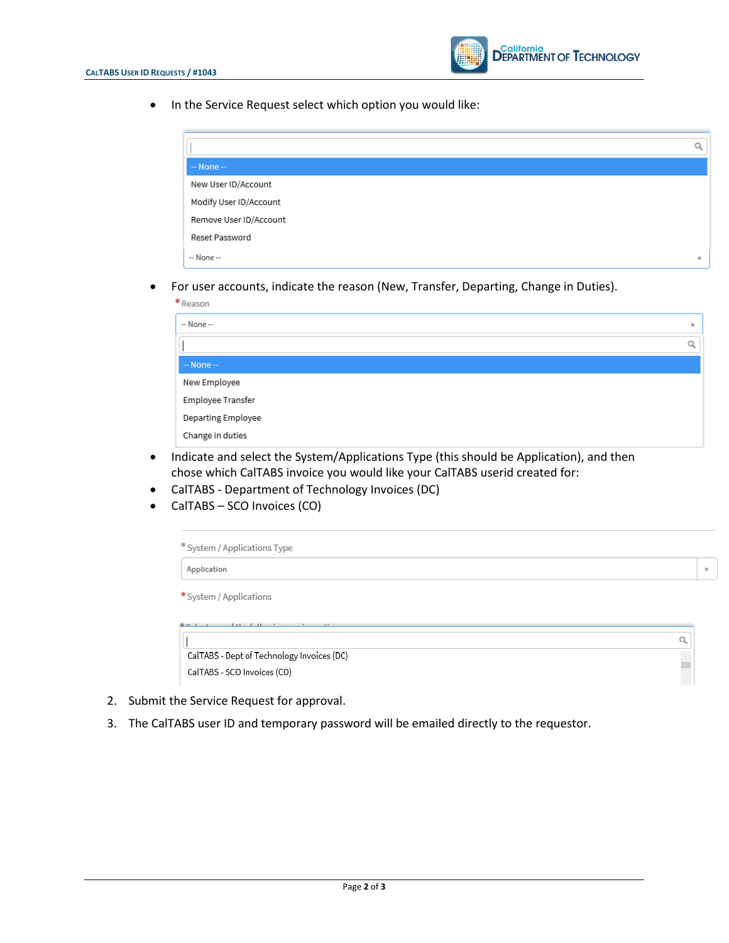

• In the Service Request select which option you would like:

| $-$ None $-$           |    |
|------------------------|----|
| New User ID/Account    |    |
| Modify User ID/Account |    |
| Remove User ID/Account |    |
| Reset Password         |    |
| -- None --             | А. |

• For user accounts, indicate the reason (New, Transfer, Departing, Change in Duties).

| * Reason           |   |
|--------------------|---|
| -- None --         | 业 |
|                    | Q |
| $-$ None $-$       |   |
| New Employee       |   |
| Employee Transfer  |   |
| Departing Employee |   |
| Change in duties   |   |

- Indicate and select the System/Applications Type (this should be Application), and then chose which CalTABS invoice you would like your CalTABS userid created for:
- CalTABS Department of Technology Invoices (DC)
- CalTABS SCO Invoices (CO)

| Application                                                  | $\overline{\phantom{a}}$ |
|--------------------------------------------------------------|--------------------------|
| * System / Applications                                      |                          |
|                                                              |                          |
| $k - 1$<br>$\mathcal{L}$ and $\mathcal{L}$ and $\mathcal{L}$ |                          |

- 2. Submit the Service Request for approval.
- 3. The CalTABS user ID and temporary password will be emailed directly to the requestor.